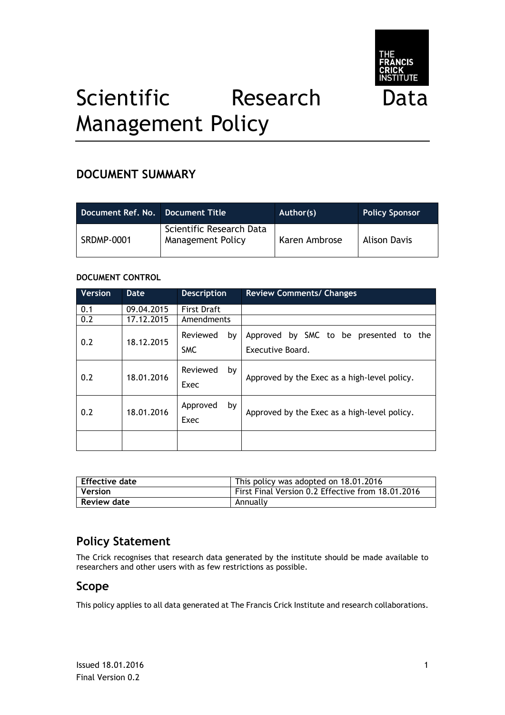

# Scientific Research Data Management Policy

## **DOCUMENT SUMMARY**

| Document Ref. No. Document Title |                                               | Author(s)     | <b>Policy Sponsor</b> |
|----------------------------------|-----------------------------------------------|---------------|-----------------------|
| <b>SRDMP-0001</b>                | Scientific Research Data<br>Management Policy | Karen Ambrose | <b>Alison Davis</b>   |

#### **DOCUMENT CONTROL**

| <b>Version</b> | <b>Date</b> | <b>Description</b>           | <b>Review Comments/ Changes</b>                            |
|----------------|-------------|------------------------------|------------------------------------------------------------|
| 0.1            | 09.04.2015  | <b>First Draft</b>           |                                                            |
| 0.2            | 17.12.2015  | Amendments                   |                                                            |
| 0.2            | 18.12.2015  | Reviewed<br>by<br><b>SMC</b> | Approved by SMC to be presented to the<br>Executive Board. |
| 0.2            | 18.01.2016  | Reviewed<br>by<br>Exec       | Approved by the Exec as a high-level policy.               |
| 0.2            | 18.01.2016  | Approved<br>by<br>Exec       | Approved by the Exec as a high-level policy.               |
|                |             |                              |                                                            |

| l Effective date | This policy was adopted on 18.01.2016             |
|------------------|---------------------------------------------------|
| <b>Version</b>   | First Final Version 0.2 Effective from 18.01.2016 |
| Review date      | Annually                                          |

## **Policy Statement**

The Crick recognises that research data generated by the institute should be made available to researchers and other users with as few restrictions as possible.

### **Scope**

This policy applies to all data generated at The Francis Crick Institute and research collaborations.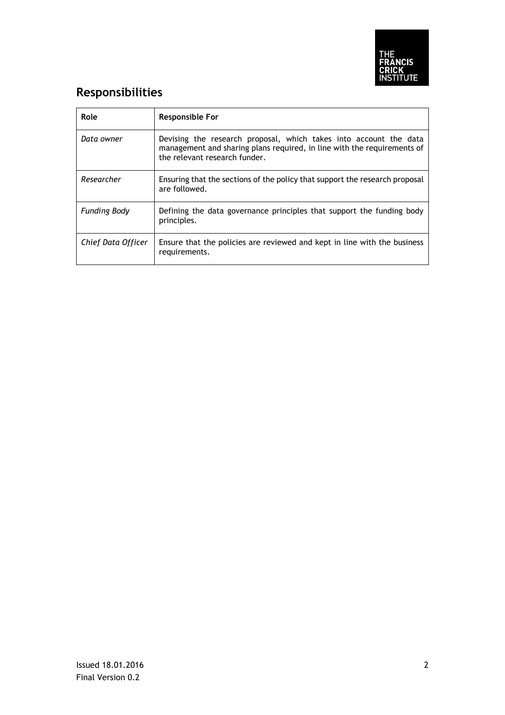

## **Responsibilities**

| Role                | <b>Responsible For</b>                                                                                                                                                        |
|---------------------|-------------------------------------------------------------------------------------------------------------------------------------------------------------------------------|
| Data owner          | Devising the research proposal, which takes into account the data<br>management and sharing plans required, in line with the requirements of<br>the relevant research funder. |
| Researcher          | Ensuring that the sections of the policy that support the research proposal<br>are followed.                                                                                  |
| <b>Funding Body</b> | Defining the data governance principles that support the funding body<br>principles.                                                                                          |
| Chief Data Officer  | Ensure that the policies are reviewed and kept in line with the business<br>requirements.                                                                                     |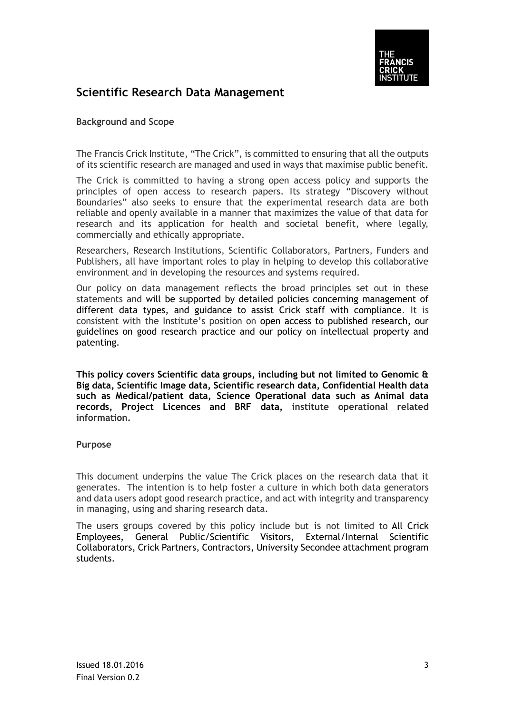

## **Scientific Research Data Management**

#### **Background and Scope**

The Francis Crick Institute, "The Crick", is committed to ensuring that all the outputs of its scientific research are managed and used in ways that maximise public benefit.

The Crick is committed to having a strong open access policy and supports the principles of open access to research papers. Its strategy "Discovery without Boundaries" also seeks to ensure that the experimental research data are both reliable and openly available in a manner that maximizes the value of that data for research and its application for health and societal benefit, where legally, commercially and ethically appropriate.

Researchers, Research Institutions, Scientific Collaborators, Partners, Funders and Publishers, all have important roles to play in helping to develop this collaborative environment and in developing the resources and systems required.

Our policy on data management reflects the broad principles set out in these statements and will be supported by detailed policies concerning management of different data types, and guidance to assist Crick staff with compliance. It is consistent with the Institute's position on open access to published research, our guidelines on good research practice and our policy on intellectual property and patenting.

**This policy covers Scientific data groups, including but not limited to Genomic & Big data, Scientific Image data, Scientific research data, Confidential Health data such as Medical/patient data, Science Operational data such as Animal data records, Project Licences and BRF data, institute operational related information.**

#### **Purpose**

This document underpins the value The Crick places on the research data that it generates. The intention is to help foster a culture in which both data generators and data users adopt good research practice, and act with integrity and transparency in managing, using and sharing research data.

The users groups covered by this policy include but is not limited to All Crick Employees, General Public/Scientific Visitors, External/Internal Scientific Collaborators, Crick Partners, Contractors, University Secondee attachment program students.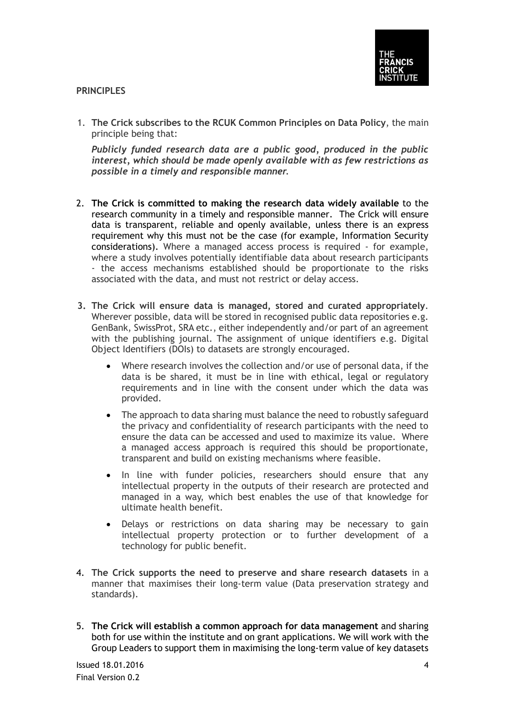

#### **PRINCIPLES**

1. **The Crick subscribes to the RCUK Common Principles on Data Policy**, the main principle being that:

*Publicly funded research data are a public good, produced in the public interest, which should be made openly available with as few restrictions as possible in a timely and responsible manner.*

- 2. **The Crick is committed to making the research data widely available** to the research community in a timely and responsible manner. The Crick will ensure data is transparent, reliable and openly available, unless there is an express requirement why this must not be the case (for example, Information Security considerations). Where a managed access process is required - for example, where a study involves potentially identifiable data about research participants - the access mechanisms established should be proportionate to the risks associated with the data, and must not restrict or delay access.
- **3. The Crick will ensure data is managed, stored and curated appropriately**. Wherever possible, data will be stored in recognised public data repositories e.g. GenBank, SwissProt, SRA etc., either independently and/or part of an agreement with the publishing journal. The assignment of unique identifiers e.g. Digital Object Identifiers (DOIs) to datasets are strongly encouraged.
	- Where research involves the collection and/or use of personal data, if the data is be shared, it must be in line with ethical, legal or regulatory requirements and in line with the consent under which the data was provided.
	- The approach to data sharing must balance the need to robustly safeguard the privacy and confidentiality of research participants with the need to ensure the data can be accessed and used to maximize its value. Where a managed access approach is required this should be proportionate, transparent and build on existing mechanisms where feasible.
	- In line with funder policies, researchers should ensure that any intellectual property in the outputs of their research are protected and managed in a way, which best enables the use of that knowledge for ultimate health benefit.
	- Delays or restrictions on data sharing may be necessary to gain intellectual property protection or to further development of a technology for public benefit.
- 4. **The Crick supports the need to preserve and share research datasets** in a manner that maximises their long-term value (Data preservation strategy and standards).
- 5. **The Crick will establish a common approach for data management** and sharing both for use within the institute and on grant applications. We will work with the Group Leaders to support them in maximising the long-term value of key datasets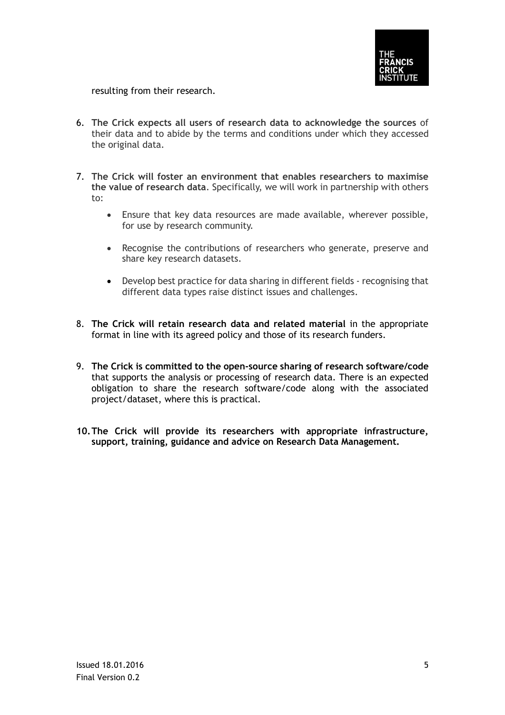

resulting from their research.

- 6. **The Crick expects all users of research data to acknowledge the sources** of their data and to abide by the terms and conditions under which they accessed the original data.
- 7. **The Crick will foster an environment that enables researchers to maximise the value of research data**. Specifically, we will work in partnership with others to:
	- Ensure that key data resources are made available, wherever possible, for use by research community.
	- Recognise the contributions of researchers who generate, preserve and share key research datasets.
	- Develop best practice for data sharing in different fields recognising that different data types raise distinct issues and challenges.
- 8. **The Crick will retain research data and related material** in the appropriate format in line with its agreed policy and those of its research funders.
- 9. **The Crick is committed to the open-source sharing of research software/code** that supports the analysis or processing of research data. There is an expected obligation to share the research software/code along with the associated project/dataset, where this is practical.
- **10.The Crick will provide its researchers with appropriate infrastructure, support, training, guidance and advice on Research Data Management.**